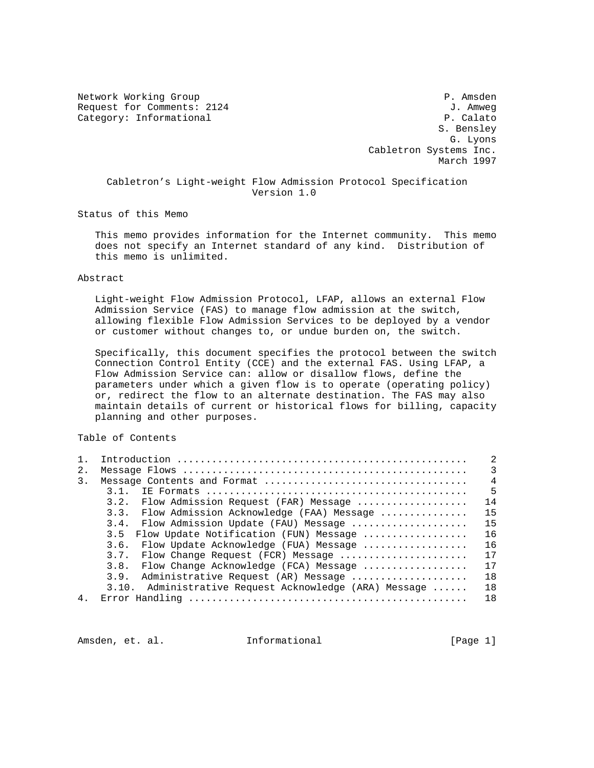Network Working Group **P. Amsden** Request for Comments: 2124 J. Amweg Category: Informational P. Calato

 S. Bensley G. Lyons Cabletron Systems Inc. March 1997

 Cabletron's Light-weight Flow Admission Protocol Specification Version 1.0

Status of this Memo

 This memo provides information for the Internet community. This memo does not specify an Internet standard of any kind. Distribution of this memo is unlimited.

### Abstract

 Light-weight Flow Admission Protocol, LFAP, allows an external Flow Admission Service (FAS) to manage flow admission at the switch, allowing flexible Flow Admission Services to be deployed by a vendor or customer without changes to, or undue burden on, the switch.

 Specifically, this document specifies the protocol between the switch Connection Control Entity (CCE) and the external FAS. Using LFAP, a Flow Admission Service can: allow or disallow flows, define the parameters under which a given flow is to operate (operating policy) or, redirect the flow to an alternate destination. The FAS may also maintain details of current or historical flows for billing, capacity planning and other purposes.

Table of Contents

| 1 <sub>1</sub> |                                                        | 2              |
|----------------|--------------------------------------------------------|----------------|
| 2.             |                                                        | $\mathcal{E}$  |
| 3.             |                                                        | $\overline{4}$ |
|                | 3 1                                                    | 5              |
|                | 3.2. Flow Admission Request (FAR) Message              | 14             |
|                | 3.3. Flow Admission Acknowledge (FAA) Message          | 15             |
|                | 3.4. Flow Admission Update (FAU) Message               | 15             |
|                | Flow Update Notification (FUN) Message<br>3.5          | 16             |
|                | 3.6. Flow Update Acknowledge (FUA) Message             | 16             |
|                | 3.7. Flow Change Request (FCR) Message                 | 17             |
|                | 3.8. Flow Change Acknowledge (FCA) Message             | 17             |
|                | 3.9. Administrative Request (AR) Message               | 18             |
|                | 3.10. Administrative Request Acknowledge (ARA) Message | 18             |
| 4 <sub>1</sub> |                                                        | 18             |

Amsden, et. al. 1nformational [Page 1]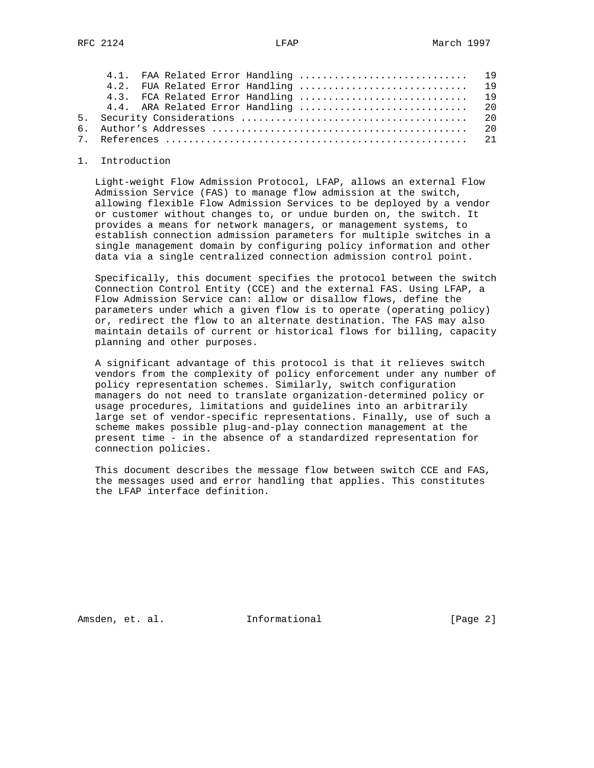|  |  |  |  |  |  |  |  | 4.1. FAA Related Error Handling  19<br>4.2. FUA Related Error Handling  19 |
|--|--|--|--|--|--|--|--|----------------------------------------------------------------------------|

### 1. Introduction

 Light-weight Flow Admission Protocol, LFAP, allows an external Flow Admission Service (FAS) to manage flow admission at the switch, allowing flexible Flow Admission Services to be deployed by a vendor or customer without changes to, or undue burden on, the switch. It provides a means for network managers, or management systems, to establish connection admission parameters for multiple switches in a single management domain by configuring policy information and other data via a single centralized connection admission control point.

 Specifically, this document specifies the protocol between the switch Connection Control Entity (CCE) and the external FAS. Using LFAP, a Flow Admission Service can: allow or disallow flows, define the parameters under which a given flow is to operate (operating policy) or, redirect the flow to an alternate destination. The FAS may also maintain details of current or historical flows for billing, capacity planning and other purposes.

 A significant advantage of this protocol is that it relieves switch vendors from the complexity of policy enforcement under any number of policy representation schemes. Similarly, switch configuration managers do not need to translate organization-determined policy or usage procedures, limitations and guidelines into an arbitrarily large set of vendor-specific representations. Finally, use of such a scheme makes possible plug-and-play connection management at the present time - in the absence of a standardized representation for connection policies.

 This document describes the message flow between switch CCE and FAS, the messages used and error handling that applies. This constitutes the LFAP interface definition.

Amsden, et. al. 10. Informational 1. [Page 2]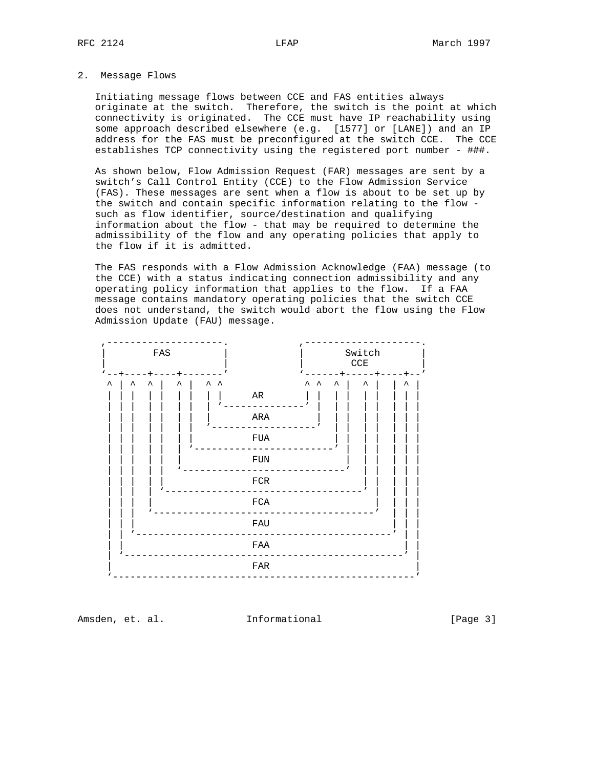## 2. Message Flows

 Initiating message flows between CCE and FAS entities always originate at the switch. Therefore, the switch is the point at which connectivity is originated. The CCE must have IP reachability using some approach described elsewhere (e.g. [1577] or [LANE]) and an IP address for the FAS must be preconfigured at the switch CCE. The CCE establishes TCP connectivity using the registered port number - ###.

 As shown below, Flow Admission Request (FAR) messages are sent by a switch's Call Control Entity (CCE) to the Flow Admission Service (FAS). These messages are sent when a flow is about to be set up by the switch and contain specific information relating to the flow such as flow identifier, source/destination and qualifying information about the flow - that may be required to determine the admissibility of the flow and any operating policies that apply to the flow if it is admitted.

 The FAS responds with a Flow Admission Acknowledge (FAA) message (to the CCE) with a status indicating connection admissibility and any operating policy information that applies to the flow. If a FAA message contains mandatory operating policies that the switch CCE does not understand, the switch would abort the flow using the Flow Admission Update (FAU) message.



Amsden, et. al. 10. Informational 1. [Page 3]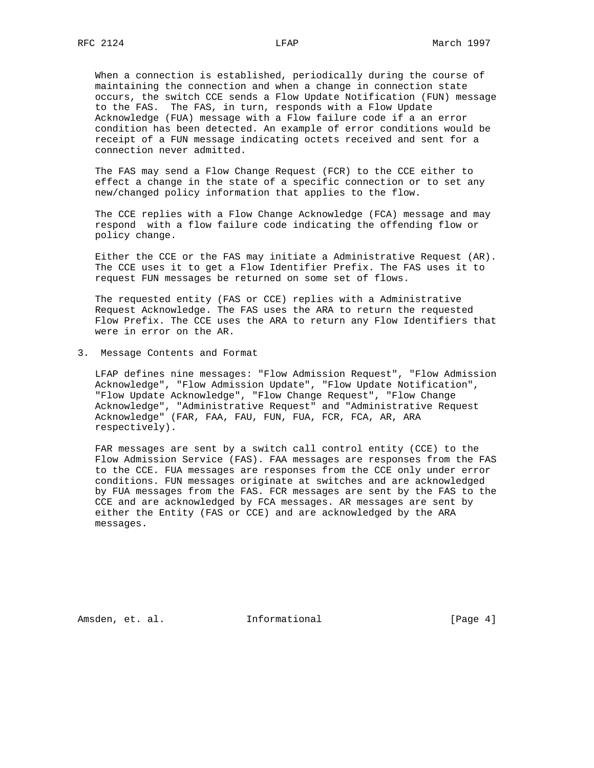When a connection is established, periodically during the course of maintaining the connection and when a change in connection state occurs, the switch CCE sends a Flow Update Notification (FUN) message to the FAS. The FAS, in turn, responds with a Flow Update Acknowledge (FUA) message with a Flow failure code if a an error condition has been detected. An example of error conditions would be receipt of a FUN message indicating octets received and sent for a connection never admitted.

 The FAS may send a Flow Change Request (FCR) to the CCE either to effect a change in the state of a specific connection or to set any new/changed policy information that applies to the flow.

 The CCE replies with a Flow Change Acknowledge (FCA) message and may respond with a flow failure code indicating the offending flow or policy change.

 Either the CCE or the FAS may initiate a Administrative Request (AR). The CCE uses it to get a Flow Identifier Prefix. The FAS uses it to request FUN messages be returned on some set of flows.

 The requested entity (FAS or CCE) replies with a Administrative Request Acknowledge. The FAS uses the ARA to return the requested Flow Prefix. The CCE uses the ARA to return any Flow Identifiers that were in error on the AR.

3. Message Contents and Format

 LFAP defines nine messages: "Flow Admission Request", "Flow Admission Acknowledge", "Flow Admission Update", "Flow Update Notification", "Flow Update Acknowledge", "Flow Change Request", "Flow Change Acknowledge", "Administrative Request" and "Administrative Request Acknowledge" (FAR, FAA, FAU, FUN, FUA, FCR, FCA, AR, ARA respectively).

 FAR messages are sent by a switch call control entity (CCE) to the Flow Admission Service (FAS). FAA messages are responses from the FAS to the CCE. FUA messages are responses from the CCE only under error conditions. FUN messages originate at switches and are acknowledged by FUA messages from the FAS. FCR messages are sent by the FAS to the CCE and are acknowledged by FCA messages. AR messages are sent by either the Entity (FAS or CCE) and are acknowledged by the ARA messages.

Amsden, et. al. 10. Informational 1. [Page 4]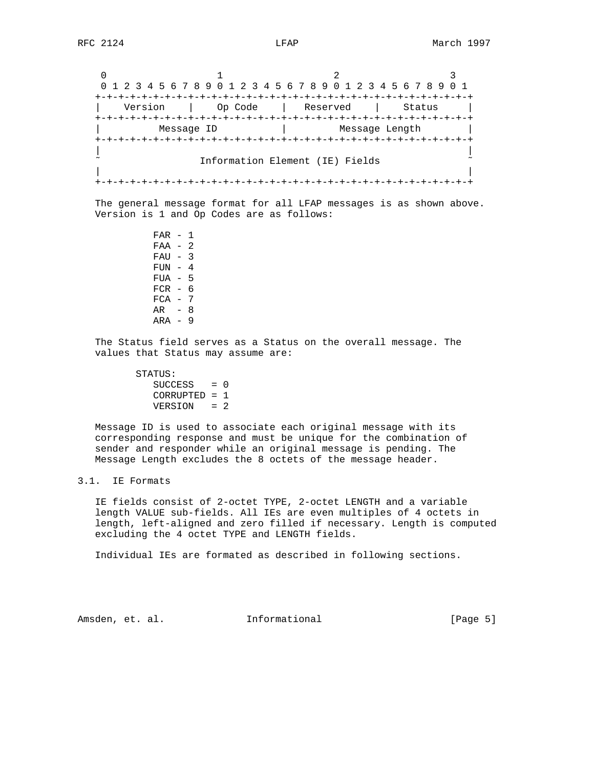0  $1$  2 3 0 1 2 3 4 5 6 7 8 9 0 1 2 3 4 5 6 7 8 9 0 1 2 3 4 5 6 7 8 9 0 1 +-+-+-+-+-+-+-+-+-+-+-+-+-+-+-+-+-+-+-+-+-+-+-+-+-+-+-+-+-+-+-+-+ | Version | Op Code | Reserved | Status | +-+-+-+-+-+-+-+-+-+-+-+-+-+-+-+-+-+-+-+-+-+-+-+-+-+-+-+-+-+-+-+-+ Message ID | Message Length +-+-+-+-+-+-+-+-+-+-+-+-+-+-+-+-+-+-+-+-+-+-+-+-+-+-+-+-+-+-+-+-+ | | Information Element (IE) Fields | | +-+-+-+-+-+-+-+-+-+-+-+-+-+-+-+-+-+-+-+-+-+-+-+-+-+-+-+-+-+-+-+-+

 The general message format for all LFAP messages is as shown above. Version is 1 and Op Codes are as follows:

> FAR - 1 FAA - 2  $FAU - 3$  $FUN - 4$  FUA - 5  $FCR - 6$  $FCA - 7$  AR - 8  $ARA - 9$

 The Status field serves as a Status on the overall message. The values that Status may assume are:

> STATUS:  $SUCCESS = 0$  CORRUPTED = 1 VERSION = 2

 Message ID is used to associate each original message with its corresponding response and must be unique for the combination of sender and responder while an original message is pending. The Message Length excludes the 8 octets of the message header.

# 3.1. IE Formats

 IE fields consist of 2-octet TYPE, 2-octet LENGTH and a variable length VALUE sub-fields. All IEs are even multiples of 4 octets in length, left-aligned and zero filled if necessary. Length is computed excluding the 4 octet TYPE and LENGTH fields.

Individual IEs are formated as described in following sections.

Amsden, et. al. 1nformational [Page 5]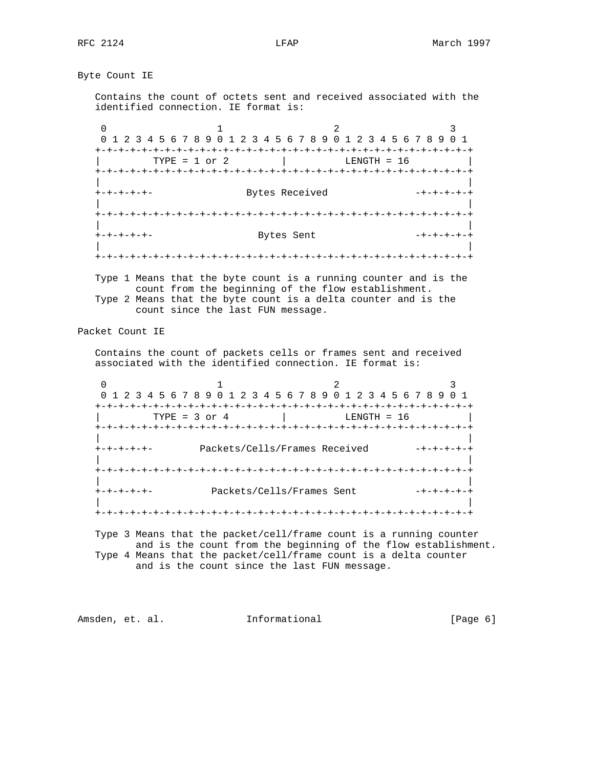Byte Count IE

 Contains the count of octets sent and received associated with the identified connection. IE format is:

0  $1$  2 3 0 1 2 3 4 5 6 7 8 9 0 1 2 3 4 5 6 7 8 9 0 1 2 3 4 5 6 7 8 9 0 1 +-+-+-+-+-+-+-+-+-+-+-+-+-+-+-+-+-+-+-+-+-+-+-+-+-+-+-+-+-+-+-+-+  $\text{TPE} = 1 \text{ or } 2$  | LENGTH = 16 +-+-+-+-+-+-+-+-+-+-+-+-+-+-+-+-+-+-+-+-+-+-+-+-+-+-+-+-+-+-+-+-+ | | +-+-+-+-+- Bytes Received -+-+-+-+-+ | | +-+-+-+-+-+-+-+-+-+-+-+-+-+-+-+-+-+-+-+-+-+-+-+-+-+-+-+-+-+-+-+-+ | | +-+-+-+-+- Bytes Sent -+-+-+-+-+ | | +-+-+-+-+-+-+-+-+-+-+-+-+-+-+-+-+-+-+-+-+-+-+-+-+-+-+-+-+-+-+-+-+

 Type 1 Means that the byte count is a running counter and is the count from the beginning of the flow establishment. Type 2 Means that the byte count is a delta counter and is the count since the last FUN message.

Packet Count IE

 Contains the count of packets cells or frames sent and received associated with the identified connection. IE format is:

0  $1$  2 3 0 1 2 3 4 5 6 7 8 9 0 1 2 3 4 5 6 7 8 9 0 1 2 3 4 5 6 7 8 9 0 1 +-+-+-+-+-+-+-+-+-+-+-+-+-+-+-+-+-+-+-+-+-+-+-+-+-+-+-+-+-+-+-+-+  $\text{TYPE} = 3 \text{ or } 4$  | LENGTH = 16 +-+-+-+-+-+-+-+-+-+-+-+-+-+-+-+-+-+-+-+-+-+-+-+-+-+-+-+-+-+-+-+-+ | | +-+-+-+-+- Packets/Cells/Frames Received -+-+-+-+-+ | | +-+-+-+-+-+-+-+-+-+-+-+-+-+-+-+-+-+-+-+-+-+-+-+-+-+-+-+-+-+-+-+-+ | | +-+-+-+-+- Packets/Cells/Frames Sent -+-+-+-+-+ | | +-+-+-+-+-+-+-+-+-+-+-+-+-+-+-+-+-+-+-+-+-+-+-+-+-+-+-+-+-+-+-+-+

 Type 3 Means that the packet/cell/frame count is a running counter and is the count from the beginning of the flow establishment. Type 4 Means that the packet/cell/frame count is a delta counter and is the count since the last FUN message.

Amsden, et. al. 10. Informational 1. [Page 6]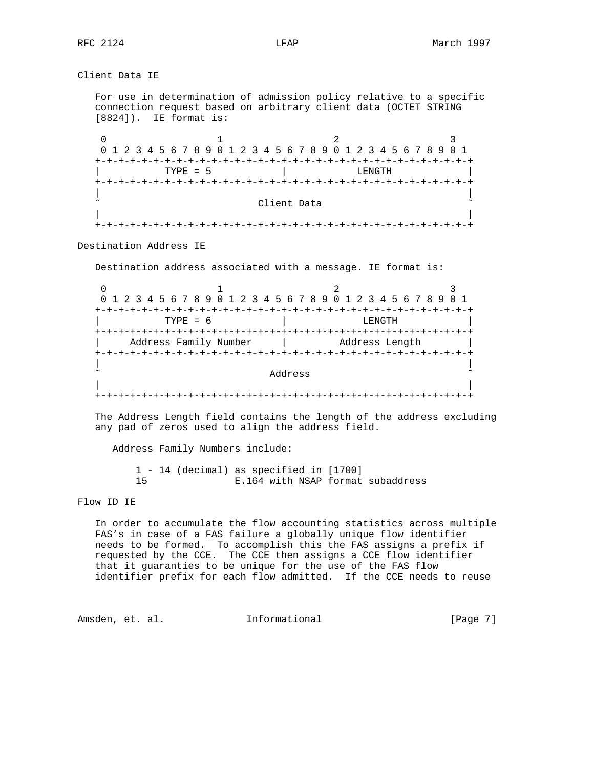Client Data IE For use in determination of admission policy relative to a specific connection request based on arbitrary client data (OCTET STRING [8824]). IE format is: 0  $1$  2 3 0 1 2 3 4 5 6 7 8 9 0 1 2 3 4 5 6 7 8 9 0 1 2 3 4 5 6 7 8 9 0 1 +-+-+-+-+-+-+-+-+-+-+-+-+-+-+-+-+-+-+-+-+-+-+-+-+-+-+-+-+-+-+-+-+ TYPE = 5 | LENGTH +-+-+-+-+-+-+-+-+-+-+-+-+-+-+-+-+-+-+-+-+-+-+-+-+-+-+-+-+-+-+-+-+ | | Client Data | | +-+-+-+-+-+-+-+-+-+-+-+-+-+-+-+-+-+-+-+-+-+-+-+-+-+-+-+-+-+-+-+-+ Destination Address IE Destination address associated with a message. IE format is:

0  $1$  2 3 0 1 2 3 4 5 6 7 8 9 0 1 2 3 4 5 6 7 8 9 0 1 2 3 4 5 6 7 8 9 0 1 +-+-+-+-+-+-+-+-+-+-+-+-+-+-+-+-+-+-+-+-+-+-+-+-+-+-+-+-+-+-+-+-+ TYPE = 6 | LENGTH +-+-+-+-+-+-+-+-+-+-+-+-+-+-+-+-+-+-+-+-+-+-+-+-+-+-+-+-+-+-+-+-+ Address Family Number | Address Length | +-+-+-+-+-+-+-+-+-+-+-+-+-+-+-+-+-+-+-+-+-+-+-+-+-+-+-+-+-+-+-+-+ | | ˜ Address ˜ | | +-+-+-+-+-+-+-+-+-+-+-+-+-+-+-+-+-+-+-+-+-+-+-+-+-+-+-+-+-+-+-+-+

 The Address Length field contains the length of the address excluding any pad of zeros used to align the address field.

Address Family Numbers include:

 1 - 14 (decimal) as specified in [1700] 15 E.164 with NSAP format subaddress

Flow ID IE

 In order to accumulate the flow accounting statistics across multiple FAS's in case of a FAS failure a globally unique flow identifier needs to be formed. To accomplish this the FAS assigns a prefix if requested by the CCE. The CCE then assigns a CCE flow identifier that it guaranties to be unique for the use of the FAS flow identifier prefix for each flow admitted. If the CCE needs to reuse

Amsden, et. al. 1nformational [Page 7]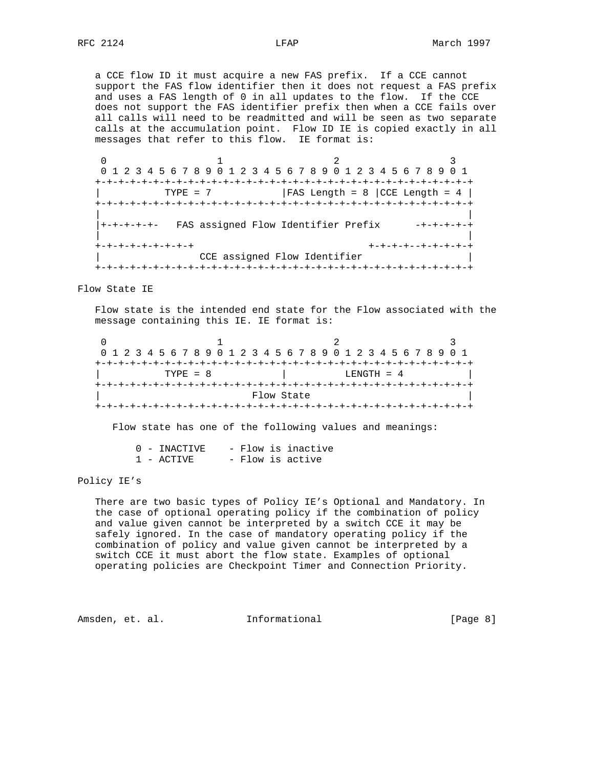a CCE flow ID it must acquire a new FAS prefix. If a CCE cannot support the FAS flow identifier then it does not request a FAS prefix and uses a FAS length of 0 in all updates to the flow. If the CCE does not support the FAS identifier prefix then when a CCE fails over all calls will need to be readmitted and will be seen as two separate calls at the accumulation point. Flow ID IE is copied exactly in all messages that refer to this flow. IE format is:

0  $1$  2 3 0 1 2 3 4 5 6 7 8 9 0 1 2 3 4 5 6 7 8 9 0 1 2 3 4 5 6 7 8 9 0 1 +-+-+-+-+-+-+-+-+-+-+-+-+-+-+-+-+-+-+-+-+-+-+-+-+-+-+-+-+-+-+-+-+  $\begin{array}{|l|c|c|c|c|c|}\n\hline\n\text{TVPE} = 7 & & \text{} & \text{FAS Length = 8 } |\text{CCE Length = 4} |\n\end{array}$  +-+-+-+-+-+-+-+-+-+-+-+-+-+-+-+-+-+-+-+-+-+-+-+-+-+-+-+-+-+-+-+-+ | | |+-+-+-+-+- FAS assigned Flow Identifier Prefix -+-+-+-+-+ | | +-+-+-+-+-+-+-+-+ +-+-+-+--+-+-+-+-+ CCE assigned Flow Identifier +-+-+-+-+-+-+-+-+-+-+-+-+-+-+-+-+-+-+-+-+-+-+-+-+-+-+-+-+-+-+-+-+

Flow State IE

 Flow state is the intended end state for the Flow associated with the message containing this IE. IE format is:

0  $1$  2 3 0 1 2 3 4 5 6 7 8 9 0 1 2 3 4 5 6 7 8 9 0 1 2 3 4 5 6 7 8 9 0 1 +-+-+-+-+-+-+-+-+-+-+-+-+-+-+-+-+-+-+-+-+-+-+-+-+-+-+-+-+-+-+-+-+ | TYPE = 8 | LENGTH = 4 +-+-+-+-+-+-+-+-+-+-+-+-+-+-+-+-+-+-+-+-+-+-+-+-+-+-+-+-+-+-+-+-+ Flow State +-+-+-+-+-+-+-+-+-+-+-+-+-+-+-+-+-+-+-+-+-+-+-+-+-+-+-+-+-+-+-+-+

Flow state has one of the following values and meanings:

|  | 0 - INACTIVE |  | - Flow is inactive |
|--|--------------|--|--------------------|
|  | 1 - ACTIVE   |  | - Flow is active   |

## Policy IE's

 There are two basic types of Policy IE's Optional and Mandatory. In the case of optional operating policy if the combination of policy and value given cannot be interpreted by a switch CCE it may be safely ignored. In the case of mandatory operating policy if the combination of policy and value given cannot be interpreted by a switch CCE it must abort the flow state. Examples of optional operating policies are Checkpoint Timer and Connection Priority.

Amsden, et. al. 1nformational [Page 8]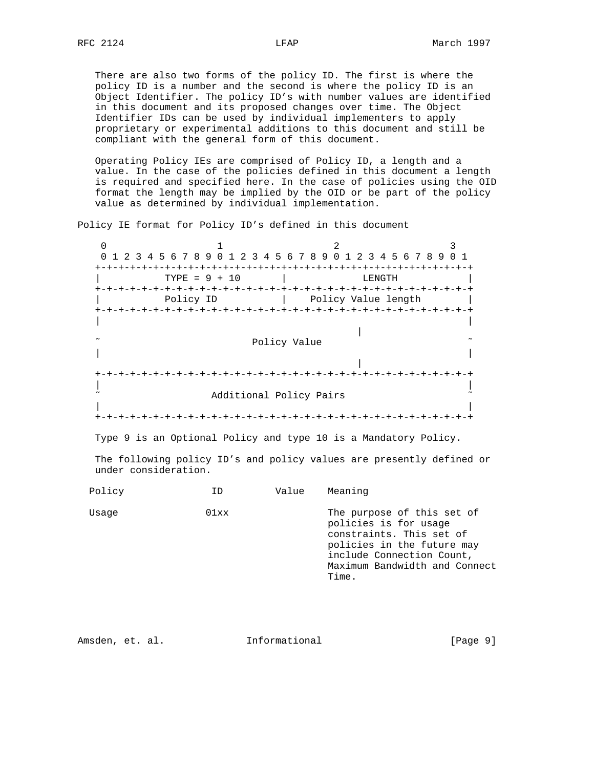There are also two forms of the policy ID. The first is where the policy ID is a number and the second is where the policy ID is an Object Identifier. The policy ID's with number values are identified in this document and its proposed changes over time. The Object Identifier IDs can be used by individual implementers to apply proprietary or experimental additions to this document and still be compliant with the general form of this document.

 Operating Policy IEs are comprised of Policy ID, a length and a value. In the case of the policies defined in this document a length is required and specified here. In the case of policies using the OID format the length may be implied by the OID or be part of the policy value as determined by individual implementation.

Policy IE format for Policy ID's defined in this document

0  $1$  2 3 0 1 2 3 4 5 6 7 8 9 0 1 2 3 4 5 6 7 8 9 0 1 2 3 4 5 6 7 8 9 0 1 +-+-+-+-+-+-+-+-+-+-+-+-+-+-+-+-+-+-+-+-+-+-+-+-+-+-+-+-+-+-+-+-+ | TYPE = 9 + 10 | LENGTH | +-+-+-+-+-+-+-+-+-+-+-+-+-+-+-+-+-+-+-+-+-+-+-+-+-+-+-+-+-+-+-+-+ Policy ID | Policy Value length | +-+-+-+-+-+-+-+-+-+-+-+-+-+-+-+-+-+-+-+-+-+-+-+-+-+-+-+-+-+-+-+-+ | | | Policy Value  $\sim$  | | | +-+-+-+-+-+-+-+-+-+-+-+-+-+-+-+-+-+-+-+-+-+-+-+-+-+-+-+-+-+-+-+-+ | | Additional Policy Pairs | | +-+-+-+-+-+-+-+-+-+-+-+-+-+-+-+-+-+-+-+-+-+-+-+-+-+-+-+-+-+-+-+-+

Type 9 is an Optional Policy and type 10 is a Mandatory Policy.

 The following policy ID's and policy values are presently defined or under consideration.

| Policy | ΤD   | Value | Meaning                                                                                                                                                                              |
|--------|------|-------|--------------------------------------------------------------------------------------------------------------------------------------------------------------------------------------|
| Usage  | 01xx |       | The purpose of this set of<br>policies is for usage<br>constraints. This set of<br>policies in the future may<br>include Connection Count,<br>Maximum Bandwidth and Connect<br>Time. |

Amsden, et. al. 111formational 111 [Page 9]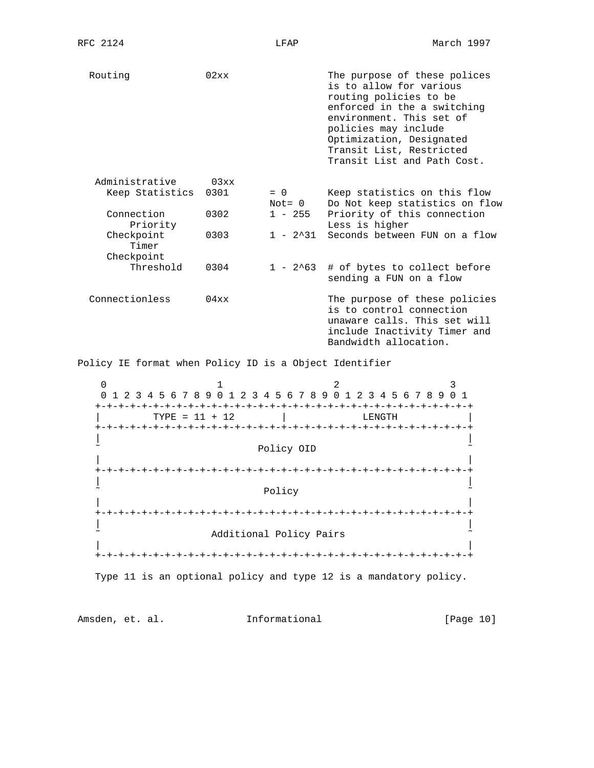Routing 02xx 02xx The purpose of these polices is to allow for various routing policies to be enforced in the a switching environment. This set of policies may include Optimization, Designated Transit List, Restricted Transit List and Path Cost. Administrative 03xx<br>Keep Statistics 0301 = 0 Keep statistics on this flow Not= 0 Do Not keep statistics on flow<br>0302 1 - 255 Priority of this connection<br>Less is higher Connection 0302 1 - 255 Priority of this connection Priority **Less** is higher Checkpoint 0303 1 - 2^31 Seconds between FUN on a flow Timer Checkpoint Threshold  $0304$  1 - 2^63 # of bytes to collect before sending a FUN on a flow Connectionless 04xx The purpose of these policies is to control connection unaware calls. This set will include Inactivity Timer and Bandwidth allocation. Policy IE format when Policy ID is a Object Identifier 0  $1$  2 3 0 1 2 3 4 5 6 7 8 9 0 1 2 3 4 5 6 7 8 9 0 1 2 3 4 5 6 7 8 9 0 1 +-+-+-+-+-+-+-+-+-+-+-+-+-+-+-+-+-+-+-+-+-+-+-+-+-+-+-+-+-+-+-+-+ | TYPE = 11 + 12 | LENGTH | +-+-+-+-+-+-+-+-+-+-+-+-+-+-+-+-+-+-+-+-+-+-+-+-+-+-+-+-+-+-+-+-+ | | Policy OID | | +-+-+-+-+-+-+-+-+-+-+-+-+-+-+-+-+-+-+-+-+-+-+-+-+-+-+-+-+-+-+-+-+ | |  $\tilde{\phantom{a}}$  and  $\tilde{\phantom{a}}$  Policy  $\tilde{\phantom{a}}$  Policy  $\tilde{\phantom{a}}$  | | +-+-+-+-+-+-+-+-+-+-+-+-+-+-+-+-+-+-+-+-+-+-+-+-+-+-+-+-+-+-+-+-+ | | Additional Policy Pairs | | +-+-+-+-+-+-+-+-+-+-+-+-+-+-+-+-+-+-+-+-+-+-+-+-+-+-+-+-+-+-+-+-+

Type 11 is an optional policy and type 12 is a mandatory policy.

Amsden, et. al. **Informational** [Page 10]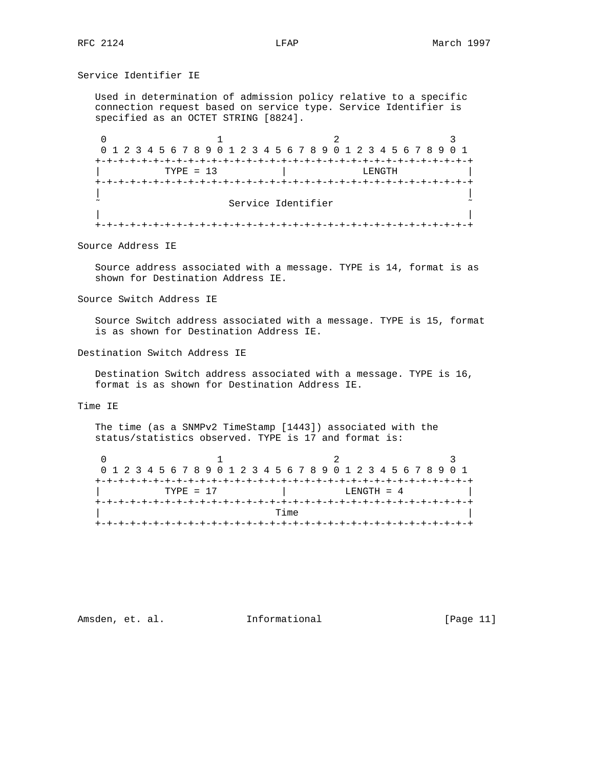Service Identifier IE

 Used in determination of admission policy relative to a specific connection request based on service type. Service Identifier is specified as an OCTET STRING [8824].

0  $1$  2 3 0 1 2 3 4 5 6 7 8 9 0 1 2 3 4 5 6 7 8 9 0 1 2 3 4 5 6 7 8 9 0 1 +-+-+-+-+-+-+-+-+-+-+-+-+-+-+-+-+-+-+-+-+-+-+-+-+-+-+-+-+-+-+-+-+  $\begin{array}{ccc} \text{TYPE} & = & 13 & \text{I} \end{array}$  +-+-+-+-+-+-+-+-+-+-+-+-+-+-+-+-+-+-+-+-+-+-+-+-+-+-+-+-+-+-+-+-+ | | Service Identifier | | +-+-+-+-+-+-+-+-+-+-+-+-+-+-+-+-+-+-+-+-+-+-+-+-+-+-+-+-+-+-+-+-+

Source Address IE

 Source address associated with a message. TYPE is 14, format is as shown for Destination Address IE.

Source Switch Address IE

 Source Switch address associated with a message. TYPE is 15, format is as shown for Destination Address IE.

Destination Switch Address IE

 Destination Switch address associated with a message. TYPE is 16, format is as shown for Destination Address IE.

Time IE

 The time (as a SNMPv2 TimeStamp [1443]) associated with the status/statistics observed. TYPE is 17 and format is:

| 0 1 2 3 4 5 6 7 8 9 0 1 2 3 4 5 6 7 8 9 0 1 2 3 4 5 6 7 8 9 0 1 |  |  |  |  |  |             |  |  |  |      |  |  |  |  |  |                |  |  |  |  |
|-----------------------------------------------------------------|--|--|--|--|--|-------------|--|--|--|------|--|--|--|--|--|----------------|--|--|--|--|
|                                                                 |  |  |  |  |  |             |  |  |  |      |  |  |  |  |  |                |  |  |  |  |
|                                                                 |  |  |  |  |  | $TYPF = 17$ |  |  |  |      |  |  |  |  |  | $I.F.NGTH = 4$ |  |  |  |  |
|                                                                 |  |  |  |  |  |             |  |  |  |      |  |  |  |  |  |                |  |  |  |  |
|                                                                 |  |  |  |  |  |             |  |  |  | Time |  |  |  |  |  |                |  |  |  |  |
|                                                                 |  |  |  |  |  |             |  |  |  |      |  |  |  |  |  |                |  |  |  |  |

Amsden, et. al. 1nformational 1999 [Page 11]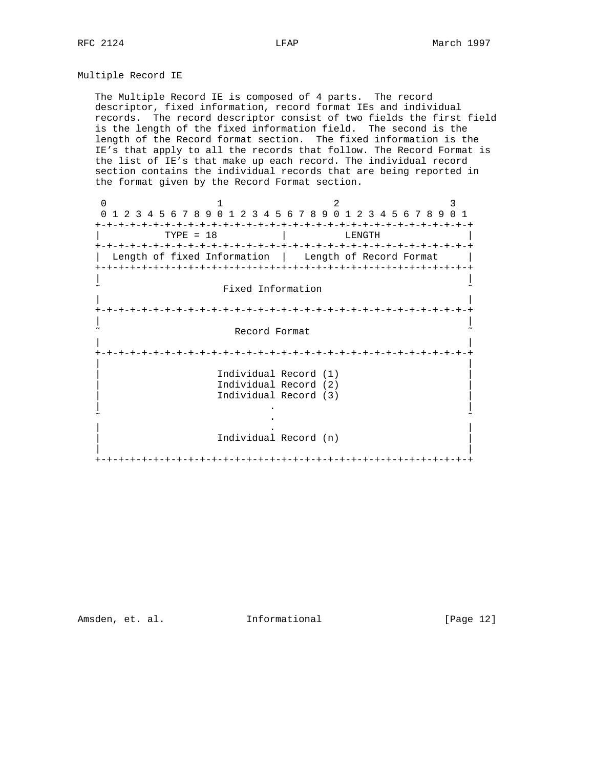Multiple Record IE

 The Multiple Record IE is composed of 4 parts. The record descriptor, fixed information, record format IEs and individual records. The record descriptor consist of two fields the first field is the length of the fixed information field. The second is the length of the Record format section. The fixed information is the IE's that apply to all the records that follow. The Record Format is the list of IE's that make up each record. The individual record section contains the individual records that are being reported in the format given by the Record Format section.

0  $1$  2 3 0 1 2 3 4 5 6 7 8 9 0 1 2 3 4 5 6 7 8 9 0 1 2 3 4 5 6 7 8 9 0 1 +-+-+-+-+-+-+-+-+-+-+-+-+-+-+-+-+-+-+-+-+-+-+-+-+-+-+-+-+-+-+-+-+  $TYPE = 18$  +-+-+-+-+-+-+-+-+-+-+-+-+-+-+-+-+-+-+-+-+-+-+-+-+-+-+-+-+-+-+-+-+ | Length of fixed Information | Length of Record Format | +-+-+-+-+-+-+-+-+-+-+-+-+-+-+-+-+-+-+-+-+-+-+-+-+-+-+-+-+-+-+-+-+ | | Fixed Information | | +-+-+-+-+-+-+-+-+-+-+-+-+-+-+-+-+-+-+-+-+-+-+-+-+-+-+-+-+-+-+-+-+ | | Record Format | | +-+-+-+-+-+-+-+-+-+-+-+-+-+-+-+-+-+-+-+-+-+-+-+-+-+-+-+-+-+-+-+-+ | | Individual Record (1) Individual Record (2) Individual Record (3) | . | ˜ . ˜ | . | Individual Record (n) | | +-+-+-+-+-+-+-+-+-+-+-+-+-+-+-+-+-+-+-+-+-+-+-+-+-+-+-+-+-+-+-+-+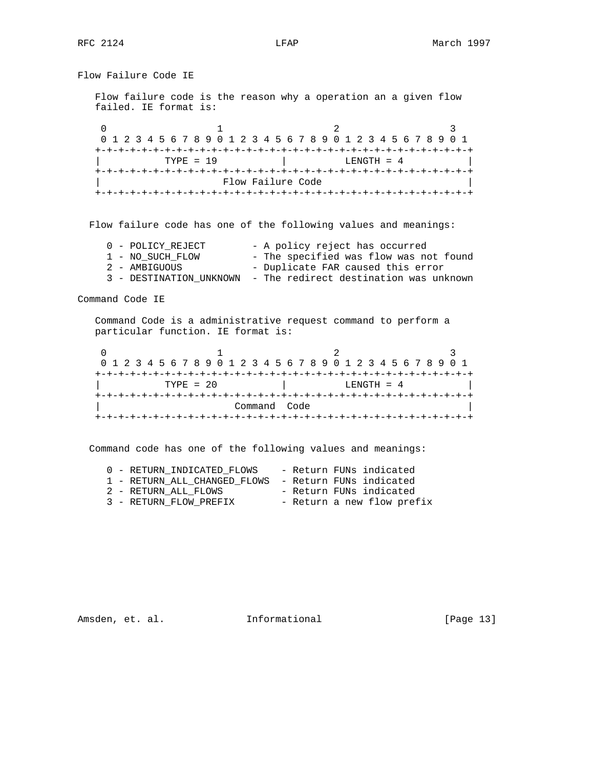Flow Failure Code IE Flow failure code is the reason why a operation an a given flow failed. IE format is: 0  $1$  2 3 0 1 2 3 4 5 6 7 8 9 0 1 2 3 4 5 6 7 8 9 0 1 2 3 4 5 6 7 8 9 0 1 +-+-+-+-+-+-+-+-+-+-+-+-+-+-+-+-+-+-+-+-+-+-+-+-+-+-+-+-+-+-+-+-+ | TYPE = 19 | LENGTH = 4 | +-+-+-+-+-+-+-+-+-+-+-+-+-+-+-+-+-+-+-+-+-+-+-+-+-+-+-+-+-+-+-+-+ | Flow Failure Code | +-+-+-+-+-+-+-+-+-+-+-+-+-+-+-+-+-+-+-+-+-+-+-+-+-+-+-+-+-+-+-+-+ Flow failure code has one of the following values and meanings: 0 - POLICY\_REJECT - A policy reject has occurred 1 - NO\_SUCH\_FLOW - The specified was flow was not found 2 - AMBIGUOUS - Duplicate FAR caused this error 3 - DESTINATION\_UNKNOWN - The redirect destination was unknown Command Code IE Command Code is a administrative request command to perform a particular function. IE format is: 0  $1$  2 3 0 1 2 3 4 5 6 7 8 9 0 1 2 3 4 5 6 7 8 9 0 1 2 3 4 5 6 7 8 9 0 1 +-+-+-+-+-+-+-+-+-+-+-+-+-+-+-+-+-+-+-+-+-+-+-+-+-+-+-+-+-+-+-+-+ | TYPE = 20 | LENGTH = 4 | +-+-+-+-+-+-+-+-+-+-+-+-+-+-+-+-+-+-+-+-+-+-+-+-+-+-+-+-+-+-+-+-+ | Command Code | +-+-+-+-+-+-+-+-+-+-+-+-+-+-+-+-+-+-+-+-+-+-+-+-+-+-+-+-+-+-+-+-+ Command code has one of the following values and meanings: 0 - RETURN\_INDICATED\_FLOWS - Return FUNs indicated

Amsden, et. al. 10. Informational [Page 13]

 1 - RETURN\_ALL\_CHANGED\_FLOWS - Return FUNs indicated 2 - RETURN\_ALL\_FLOWS - Return FUNs indicated 3 - RETURN\_FLOW\_PREFIX - Return a new flow prefix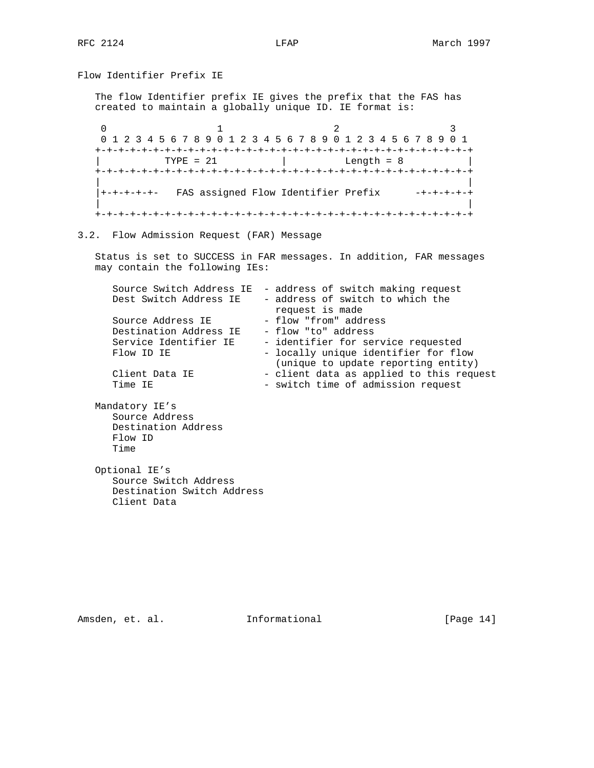Flow Identifier Prefix IE

 The flow Identifier prefix IE gives the prefix that the FAS has created to maintain a globally unique ID. IE format is:

0  $1$  2 3 0 1 2 3 4 5 6 7 8 9 0 1 2 3 4 5 6 7 8 9 0 1 2 3 4 5 6 7 8 9 0 1 +-+-+-+-+-+-+-+-+-+-+-+-+-+-+-+-+-+-+-+-+-+-+-+-+-+-+-+-+-+-+-+-+  $\text{TYPE} = 21$  | Length = 8 +-+-+-+-+-+-+-+-+-+-+-+-+-+-+-+-+-+-+-+-+-+-+-+-+-+-+-+-+-+-+-+-+ | | |+-+-+-+-+- FAS assigned Flow Identifier Prefix -+-+-+-+-+ | | +-+-+-+-+-+-+-+-+-+-+-+-+-+-+-+-+-+-+-+-+-+-+-+-+-+-+-+-+-+-+-+-+

## 3.2. Flow Admission Request (FAR) Message

 Status is set to SUCCESS in FAR messages. In addition, FAR messages may contain the following IEs:

|                            | Source Switch Address IE - address of switch making request |
|----------------------------|-------------------------------------------------------------|
| Dest Switch Address IE     | - address of switch to which the                            |
|                            | request is made                                             |
| Source Address IE          | - flow "from" address                                       |
| Destination Address IE     | - flow "to" address                                         |
| Service Identifier IE      | - identifier for service requested                          |
| Flow ID IE                 | - locally unique identifier for flow                        |
|                            | (unique to update reporting entity)                         |
| Client Data IE             | - client data as applied to this request                    |
| Time IE                    | - switch time of admission request                          |
|                            |                                                             |
| Mandatory IE's             |                                                             |
| Source Address             |                                                             |
| Destination Address        |                                                             |
| Flow ID                    |                                                             |
| Time                       |                                                             |
|                            |                                                             |
| Optional IE's              |                                                             |
| Source Switch Address      |                                                             |
| Destination Switch Address |                                                             |
| Client Data                |                                                             |
|                            |                                                             |

Amsden, et. al. 10. Informational [Page 14]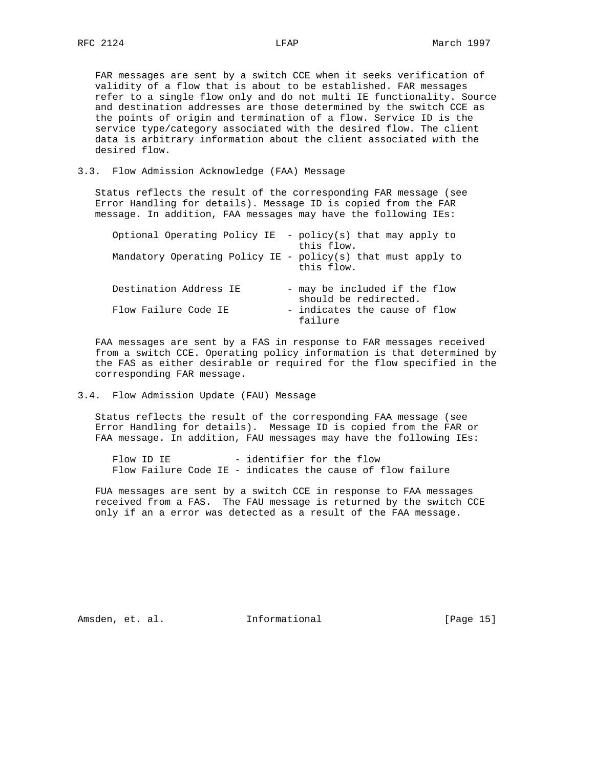FAR messages are sent by a switch CCE when it seeks verification of validity of a flow that is about to be established. FAR messages refer to a single flow only and do not multi IE functionality. Source and destination addresses are those determined by the switch CCE as the points of origin and termination of a flow. Service ID is the service type/category associated with the desired flow. The client data is arbitrary information about the client associated with the desired flow.

## 3.3. Flow Admission Acknowledge (FAA) Message

 Status reflects the result of the corresponding FAR message (see Error Handling for details). Message ID is copied from the FAR message. In addition, FAA messages may have the following IEs:

|                        | Optional Operating Policy IE - policy(s) that may apply to<br>this flow.   |
|------------------------|----------------------------------------------------------------------------|
|                        | Mandatory Operating Policy IE - policy(s) that must apply to<br>this flow. |
| Destination Address IE | - may be included if the flow<br>should be redirected.                     |
| Flow Failure Code IE   | - indicates the cause of flow<br>failure                                   |

 FAA messages are sent by a FAS in response to FAR messages received from a switch CCE. Operating policy information is that determined by the FAS as either desirable or required for the flow specified in the corresponding FAR message.

### 3.4. Flow Admission Update (FAU) Message

 Status reflects the result of the corresponding FAA message (see Error Handling for details). Message ID is copied from the FAR or FAA message. In addition, FAU messages may have the following IEs:

Flow ID IE - identifier for the flow Flow Failure Code IE - indicates the cause of flow failure

 FUA messages are sent by a switch CCE in response to FAA messages received from a FAS. The FAU message is returned by the switch CCE only if an a error was detected as a result of the FAA message.

Amsden, et. al. **Informational** [Page 15]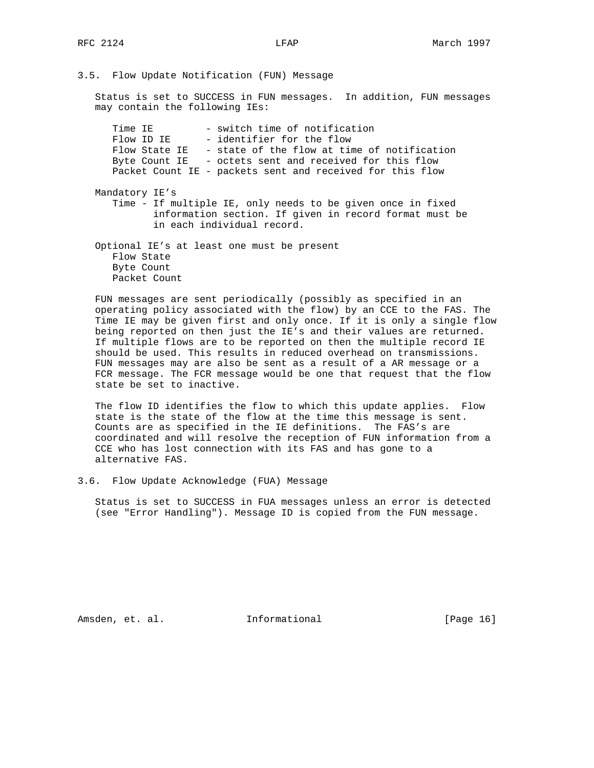3.5. Flow Update Notification (FUN) Message

 Status is set to SUCCESS in FUN messages. In addition, FUN messages may contain the following IEs:

Time IE - switch time of notification<br>Flow ID IE - identifier for the flow - identifier for the flow Flow State IE - state of the flow at time of notification Byte Count IE - octets sent and received for this flow Packet Count IE - packets sent and received for this flow Mandatory IE's

 Time - If multiple IE, only needs to be given once in fixed information section. If given in record format must be in each individual record.

 Optional IE's at least one must be present Flow State Byte Count Packet Count

 FUN messages are sent periodically (possibly as specified in an operating policy associated with the flow) by an CCE to the FAS. The Time IE may be given first and only once. If it is only a single flow being reported on then just the IE's and their values are returned. If multiple flows are to be reported on then the multiple record IE should be used. This results in reduced overhead on transmissions. FUN messages may are also be sent as a result of a AR message or a FCR message. The FCR message would be one that request that the flow state be set to inactive.

 The flow ID identifies the flow to which this update applies. Flow state is the state of the flow at the time this message is sent. Counts are as specified in the IE definitions. The FAS's are coordinated and will resolve the reception of FUN information from a CCE who has lost connection with its FAS and has gone to a alternative FAS.

3.6. Flow Update Acknowledge (FUA) Message

 Status is set to SUCCESS in FUA messages unless an error is detected (see "Error Handling"). Message ID is copied from the FUN message.

Amsden, et. al. **Informational** [Page 16]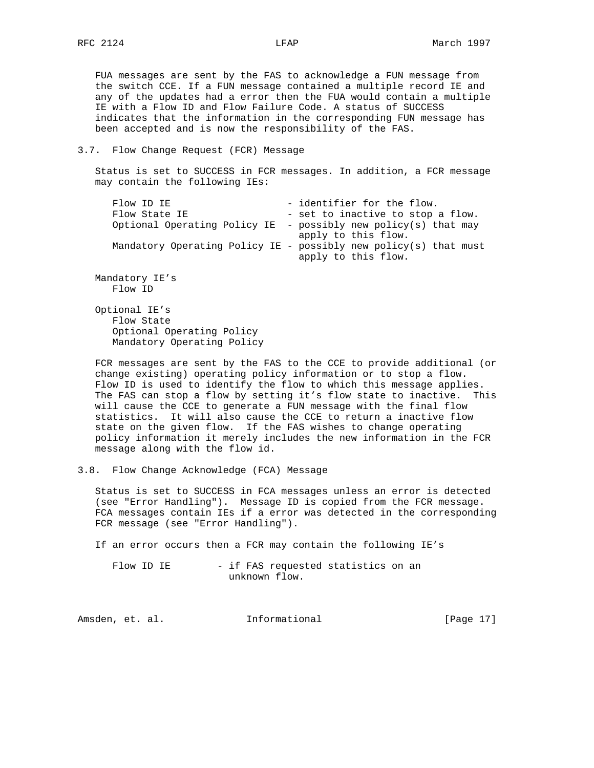FUA messages are sent by the FAS to acknowledge a FUN message from the switch CCE. If a FUN message contained a multiple record IE and any of the updates had a error then the FUA would contain a multiple IE with a Flow ID and Flow Failure Code. A status of SUCCESS indicates that the information in the corresponding FUN message has been accepted and is now the responsibility of the FAS.

#### 3.7. Flow Change Request (FCR) Message

 Status is set to SUCCESS in FCR messages. In addition, a FCR message may contain the following IEs:

```
Flow ID IE - identifier for the flow.
 Flow State IE - set to inactive to stop a flow.
  Optional Operating Policy IE - possibly new policy(s) that may
                               apply to this flow.
  Mandatory Operating Policy IE - possibly new policy(s) that must
                               apply to this flow.
Mandatory IE's
  Flow ID
```
 Optional IE's Flow State Optional Operating Policy Mandatory Operating Policy

 FCR messages are sent by the FAS to the CCE to provide additional (or change existing) operating policy information or to stop a flow. Flow ID is used to identify the flow to which this message applies. The FAS can stop a flow by setting it's flow state to inactive. This will cause the CCE to generate a FUN message with the final flow statistics. It will also cause the CCE to return a inactive flow state on the given flow. If the FAS wishes to change operating policy information it merely includes the new information in the FCR message along with the flow id.

3.8. Flow Change Acknowledge (FCA) Message

 Status is set to SUCCESS in FCA messages unless an error is detected (see "Error Handling"). Message ID is copied from the FCR message. FCA messages contain IEs if a error was detected in the corresponding FCR message (see "Error Handling").

If an error occurs then a FCR may contain the following IE's

Flow ID IE - if FAS requested statistics on an unknown flow.

| Amsden, et. al. | Informational | [Page 17] |  |
|-----------------|---------------|-----------|--|
|                 |               |           |  |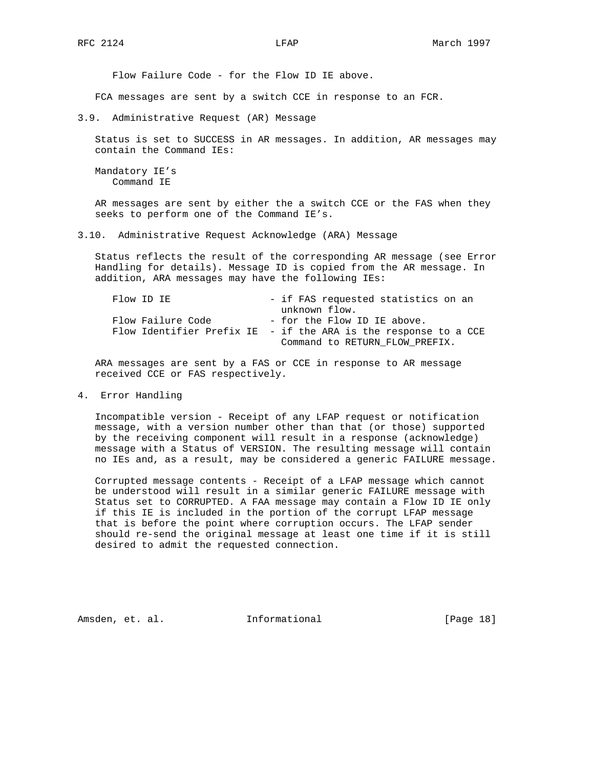Flow Failure Code - for the Flow ID IE above.

FCA messages are sent by a switch CCE in response to an FCR.

3.9. Administrative Request (AR) Message

 Status is set to SUCCESS in AR messages. In addition, AR messages may contain the Command IEs:

 Mandatory IE's Command IE

 AR messages are sent by either the a switch CCE or the FAS when they seeks to perform one of the Command IE's.

3.10. Administrative Request Acknowledge (ARA) Message

 Status reflects the result of the corresponding AR message (see Error Handling for details). Message ID is copied from the AR message. In addition, ARA messages may have the following IEs:

| Flow ID IE        | - if FAS requested statistics on an                             |
|-------------------|-----------------------------------------------------------------|
|                   | unknown flow.                                                   |
| Flow Failure Code | - for the Flow ID IE above.                                     |
|                   | Flow Identifier Prefix IE - if the ARA is the response to a CCE |
|                   | Command to RETURN FLOW PREFIX.                                  |

 ARA messages are sent by a FAS or CCE in response to AR message received CCE or FAS respectively.

4. Error Handling

 Incompatible version - Receipt of any LFAP request or notification message, with a version number other than that (or those) supported by the receiving component will result in a response (acknowledge) message with a Status of VERSION. The resulting message will contain no IEs and, as a result, may be considered a generic FAILURE message.

 Corrupted message contents - Receipt of a LFAP message which cannot be understood will result in a similar generic FAILURE message with Status set to CORRUPTED. A FAA message may contain a Flow ID IE only if this IE is included in the portion of the corrupt LFAP message that is before the point where corruption occurs. The LFAP sender should re-send the original message at least one time if it is still desired to admit the requested connection.

Amsden, et. al. **Informational** [Page 18]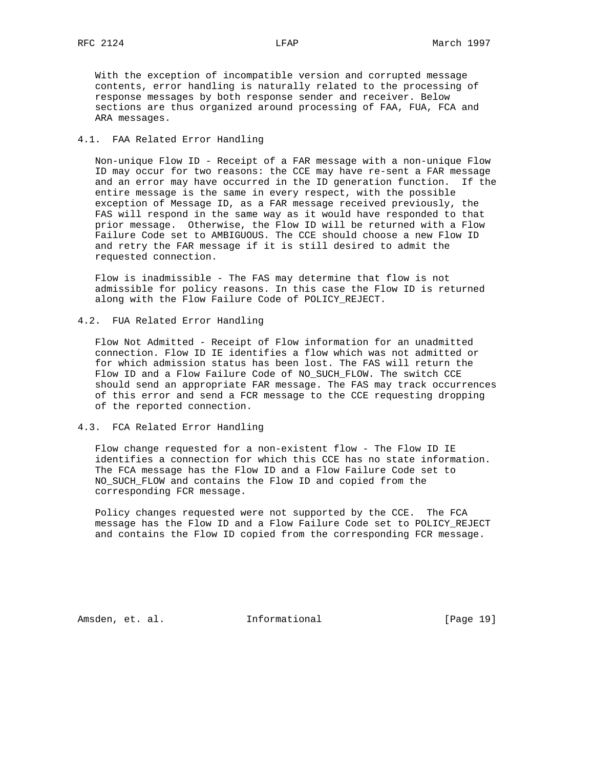With the exception of incompatible version and corrupted message contents, error handling is naturally related to the processing of response messages by both response sender and receiver. Below sections are thus organized around processing of FAA, FUA, FCA and ARA messages.

## 4.1. FAA Related Error Handling

 Non-unique Flow ID - Receipt of a FAR message with a non-unique Flow ID may occur for two reasons: the CCE may have re-sent a FAR message and an error may have occurred in the ID generation function. If the entire message is the same in every respect, with the possible exception of Message ID, as a FAR message received previously, the FAS will respond in the same way as it would have responded to that prior message. Otherwise, the Flow ID will be returned with a Flow Failure Code set to AMBIGUOUS. The CCE should choose a new Flow ID and retry the FAR message if it is still desired to admit the requested connection.

 Flow is inadmissible - The FAS may determine that flow is not admissible for policy reasons. In this case the Flow ID is returned along with the Flow Failure Code of POLICY\_REJECT.

4.2. FUA Related Error Handling

 Flow Not Admitted - Receipt of Flow information for an unadmitted connection. Flow ID IE identifies a flow which was not admitted or for which admission status has been lost. The FAS will return the Flow ID and a Flow Failure Code of NO\_SUCH\_FLOW. The switch CCE should send an appropriate FAR message. The FAS may track occurrences of this error and send a FCR message to the CCE requesting dropping of the reported connection.

4.3. FCA Related Error Handling

 Flow change requested for a non-existent flow - The Flow ID IE identifies a connection for which this CCE has no state information. The FCA message has the Flow ID and a Flow Failure Code set to NO\_SUCH\_FLOW and contains the Flow ID and copied from the corresponding FCR message.

 Policy changes requested were not supported by the CCE. The FCA message has the Flow ID and a Flow Failure Code set to POLICY\_REJECT and contains the Flow ID copied from the corresponding FCR message.

Amsden, et. al. **Informational** [Page 19]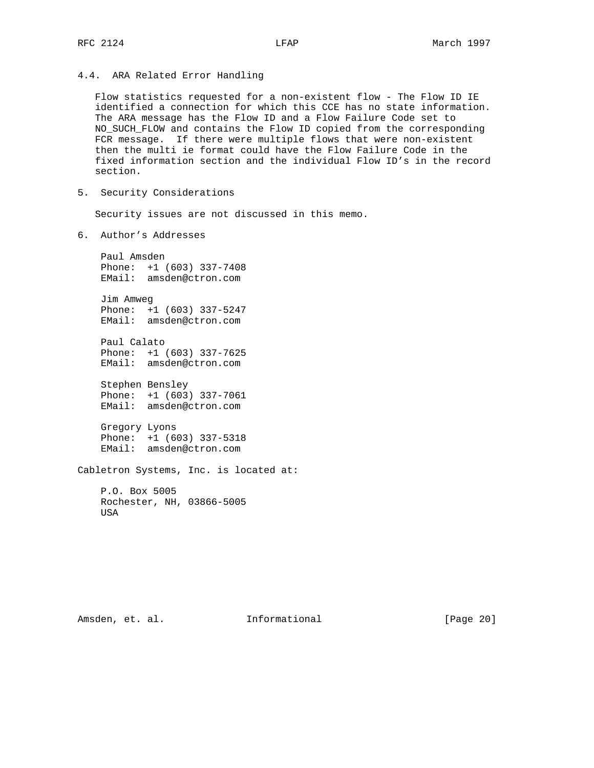4.4. ARA Related Error Handling

 Flow statistics requested for a non-existent flow - The Flow ID IE identified a connection for which this CCE has no state information. The ARA message has the Flow ID and a Flow Failure Code set to NO\_SUCH\_FLOW and contains the Flow ID copied from the corresponding FCR message. If there were multiple flows that were non-existent then the multi ie format could have the Flow Failure Code in the fixed information section and the individual Flow ID's in the record section.

5. Security Considerations

Security issues are not discussed in this memo.

6. Author's Addresses

 Paul Amsden Phone: +1 (603) 337-7408 EMail: amsden@ctron.com

 Jim Amweg Phone: +1 (603) 337-5247 EMail: amsden@ctron.com

 Paul Calato Phone: +1 (603) 337-7625 EMail: amsden@ctron.com

> Stephen Bensley Phone: +1 (603) 337-7061 EMail: amsden@ctron.com

> Gregory Lyons Phone: +1 (603) 337-5318 EMail: amsden@ctron.com

Cabletron Systems, Inc. is located at:

 P.O. Box 5005 Rochester, NH, 03866-5005 USA

Amsden, et. al. 10. Informational [Page 20]